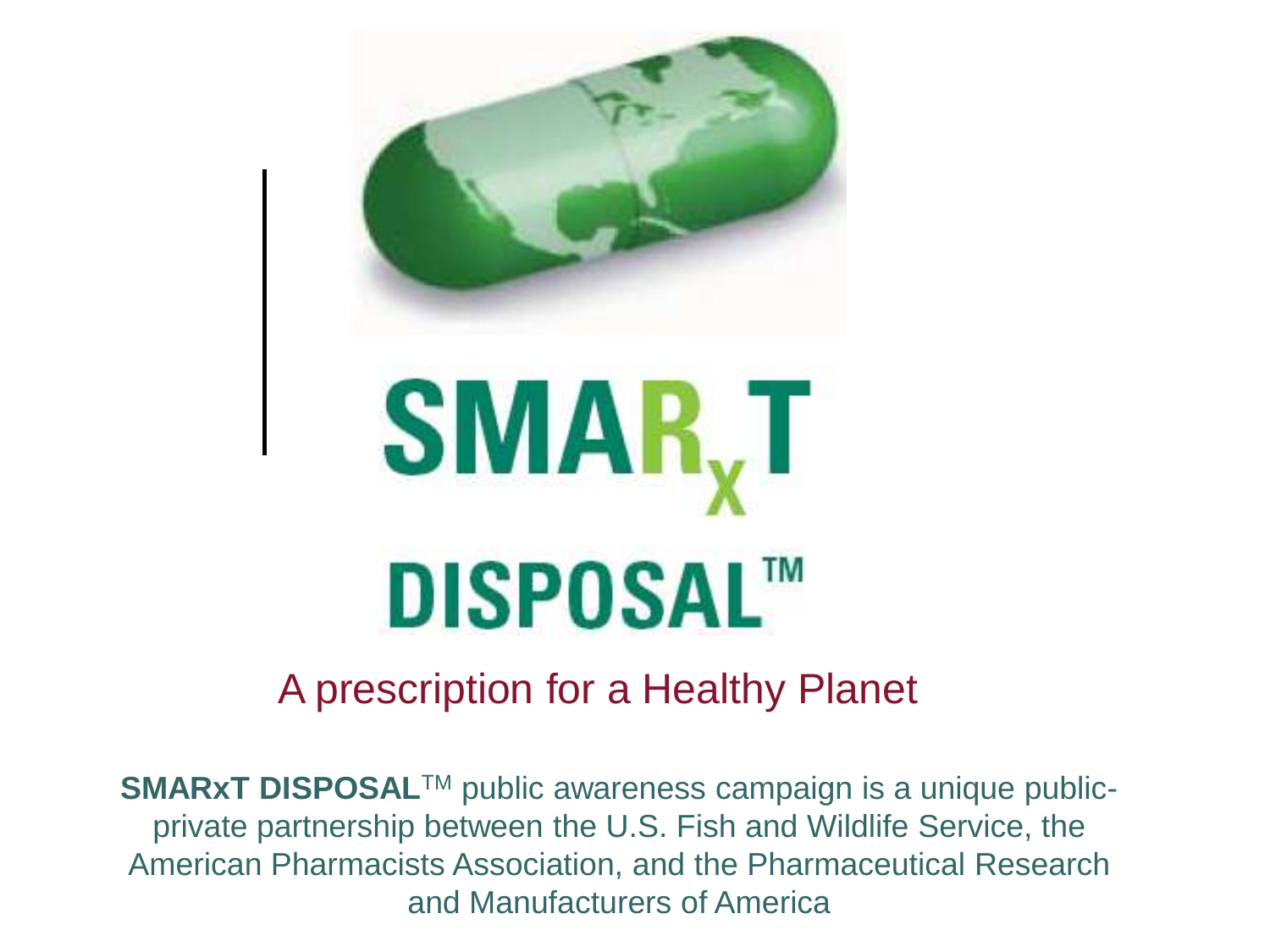

#### A prescription for a Healthy Planet

**SMARxT DISPOSAL™** public awareness campaign is a unique publicprivate partnership between the U.S. Fish and Wildlife Service, the American Pharmacists Association, and the Pharmaceutical Research and Manufacturers of America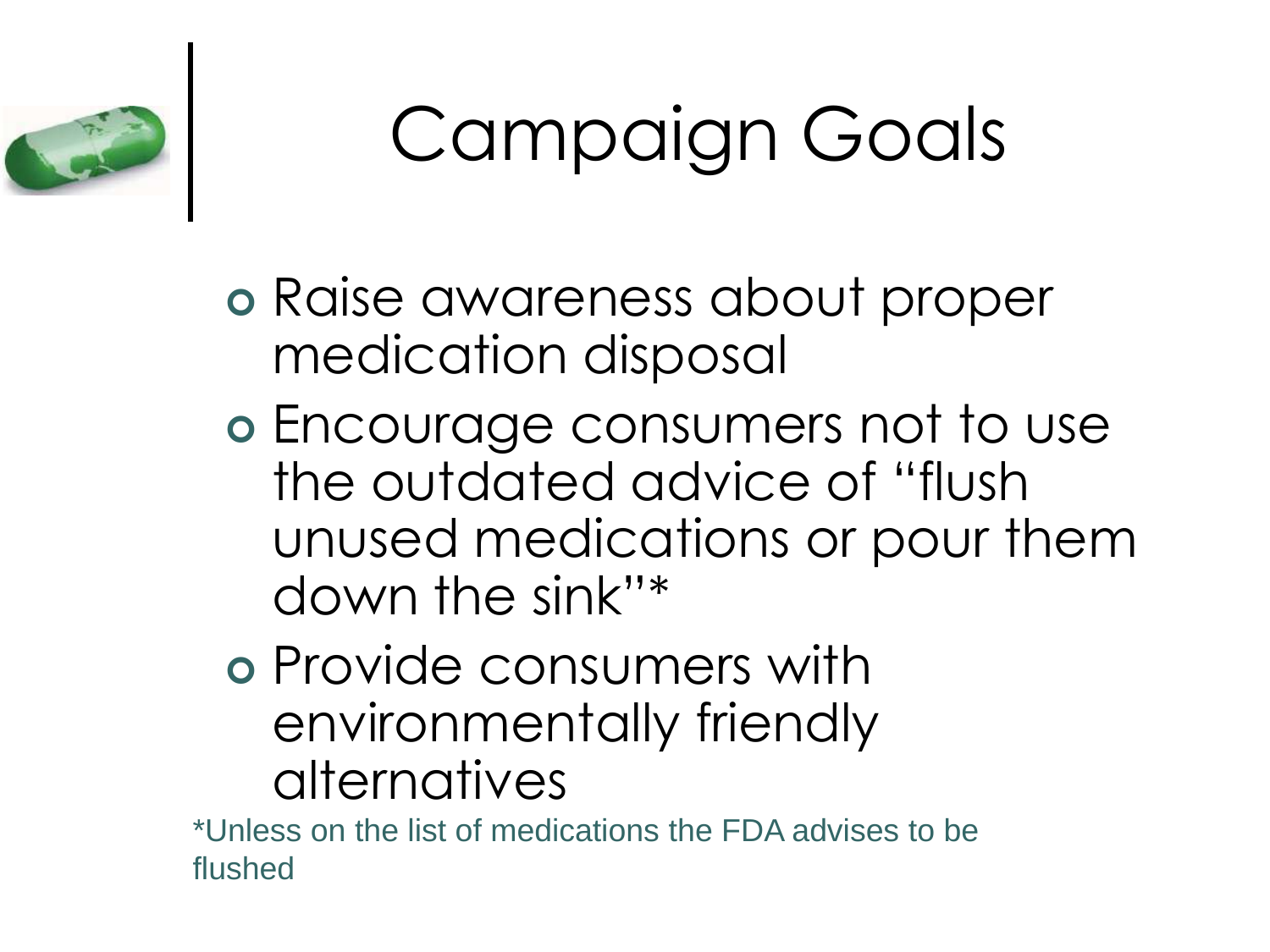

## Campaign Goals

- Raise awareness about proper medication disposal
- Encourage consumers not to use the outdated advice of "flush unused medications or pour them down the sink"\*
- Provide consumers with environmentally friendly alternatives

\*Unless on the list of medications the FDA advises to be flushed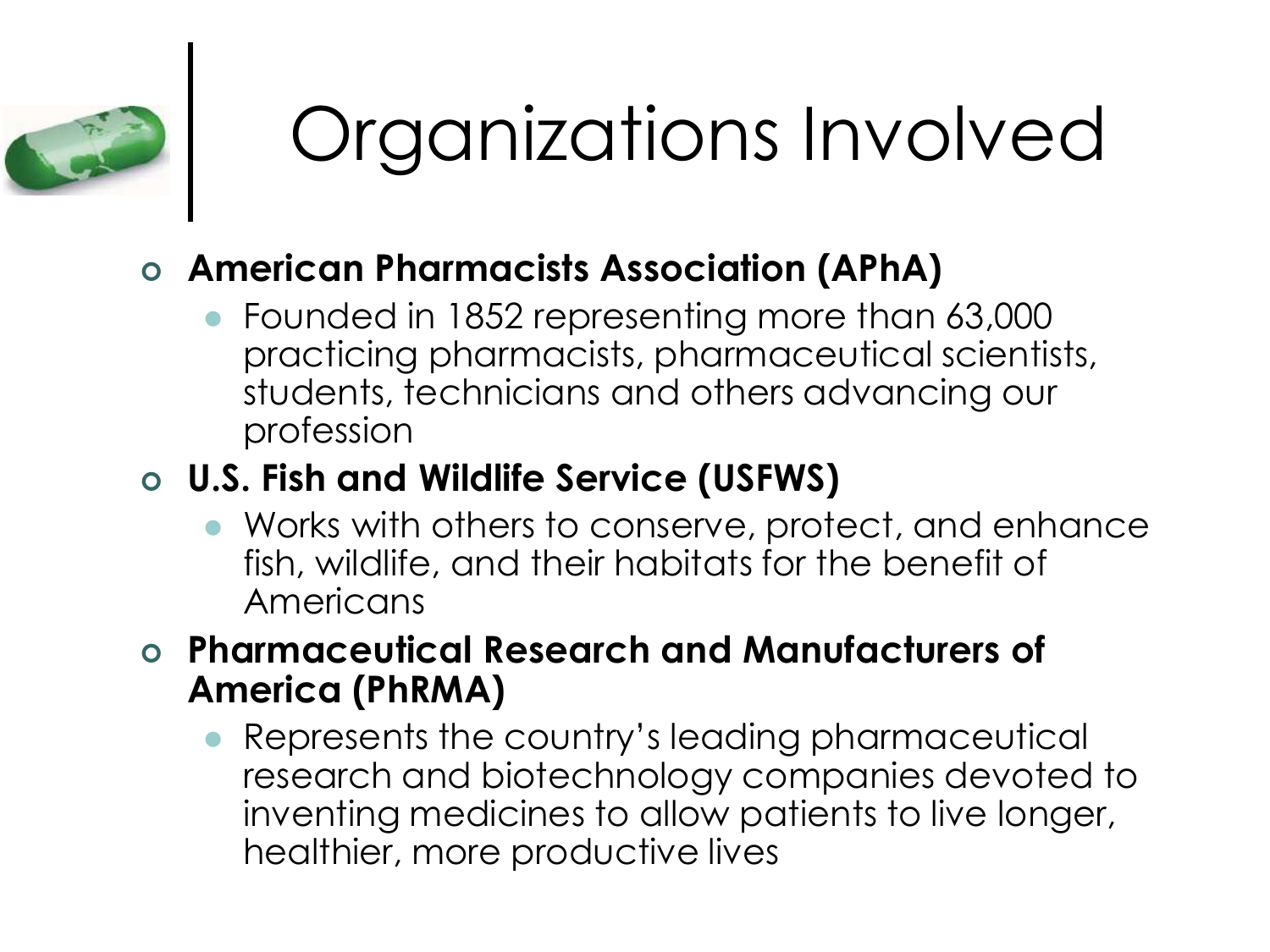

## Organizations Involved

#### **American Pharmacists Association (APhA)**

 Founded in 1852 representing more than 63,000 practicing pharmacists, pharmaceutical scientists, students, technicians and others advancing our profession

#### **U.S. Fish and Wildlife Service (USFWS)**

- Works with others to conserve, protect, and enhance fish, wildlife, and their habitats for the benefit of Americans
- **Pharmaceutical Research and Manufacturers of America (PhRMA)**
	- Represents the country's leading pharmaceutical research and biotechnology companies devoted to inventing medicines to allow patients to live longer, healthier, more productive lives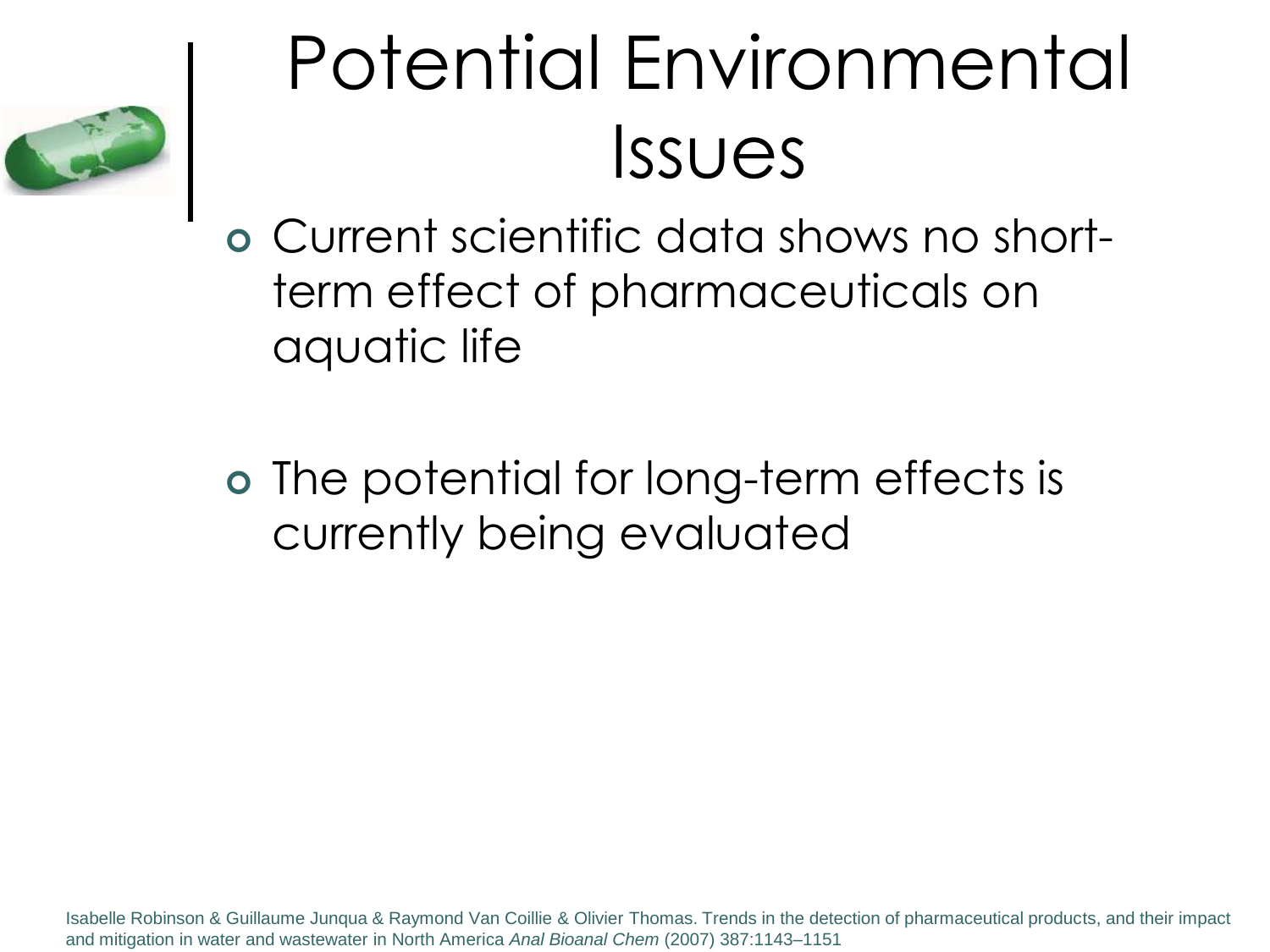

## Potential Environmental Issues

 Current scientific data shows no shortterm effect of pharmaceuticals on aquatic life

 The potential for long-term effects is currently being evaluated

Isabelle Robinson & Guillaume Junqua & Raymond Van Coillie & Olivier Thomas. Trends in the detection of pharmaceutical products, and their impact and mitigation in water and wastewater in North America *Anal Bioanal Chem* (2007) 387:1143–1151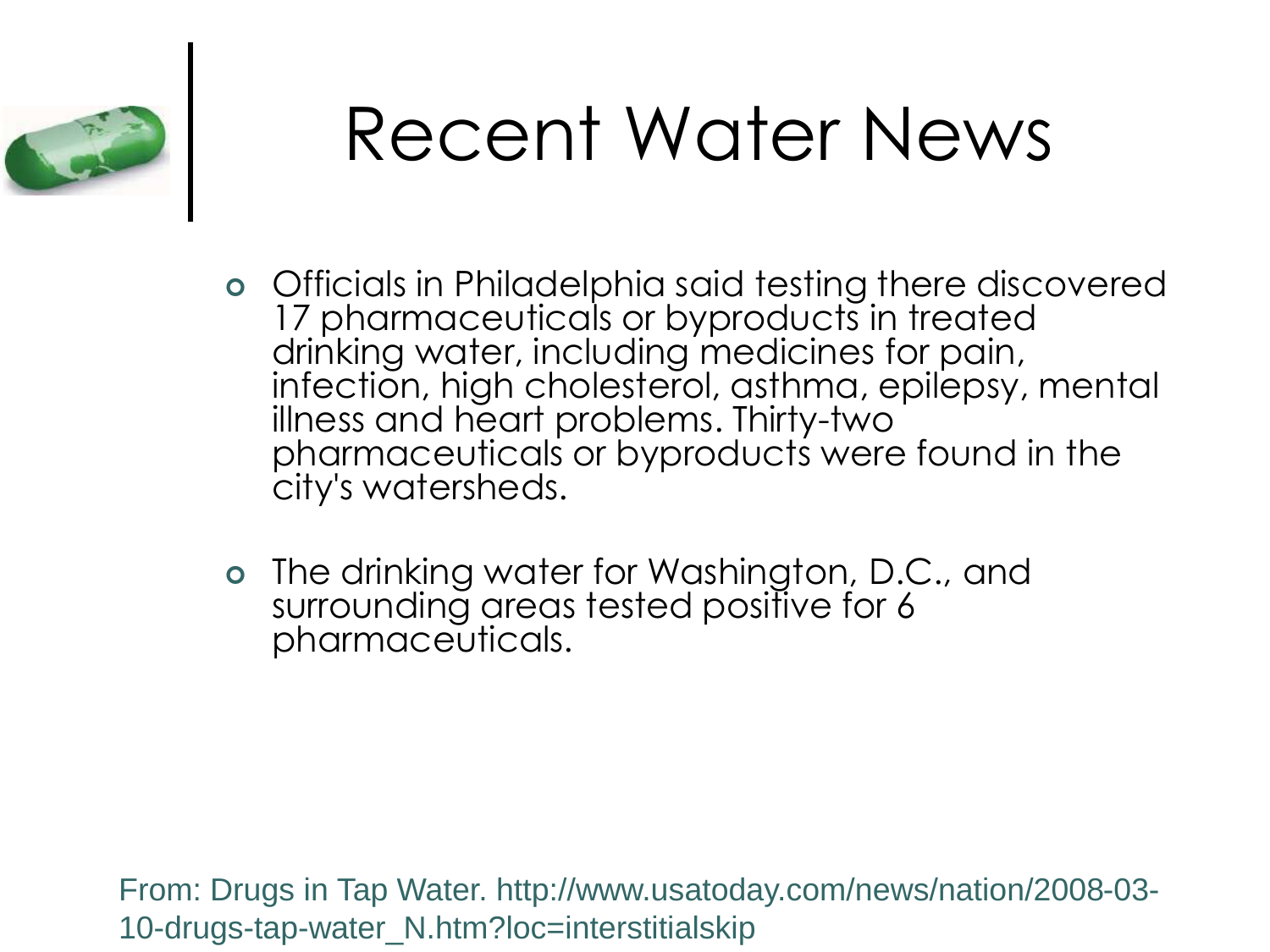

### Recent Water News

- Officials in Philadelphia said testing there discovered 17 pharmaceuticals or byproducts in treated drinking water, including medicines for pain, infection, high cholesterol, asthma, epilepsy, mental illness and heart problems. Thirty-two pharmaceuticals or byproducts were found in the city's watersheds.
- The drinking water for Washington, D.C., and surrounding areas tested positive for 6 pharmaceuticals.

From: Drugs in Tap Water. http://www.usatoday.com/news/nation/2008-03- 10-drugs-tap-water\_N.htm?loc=interstitialskip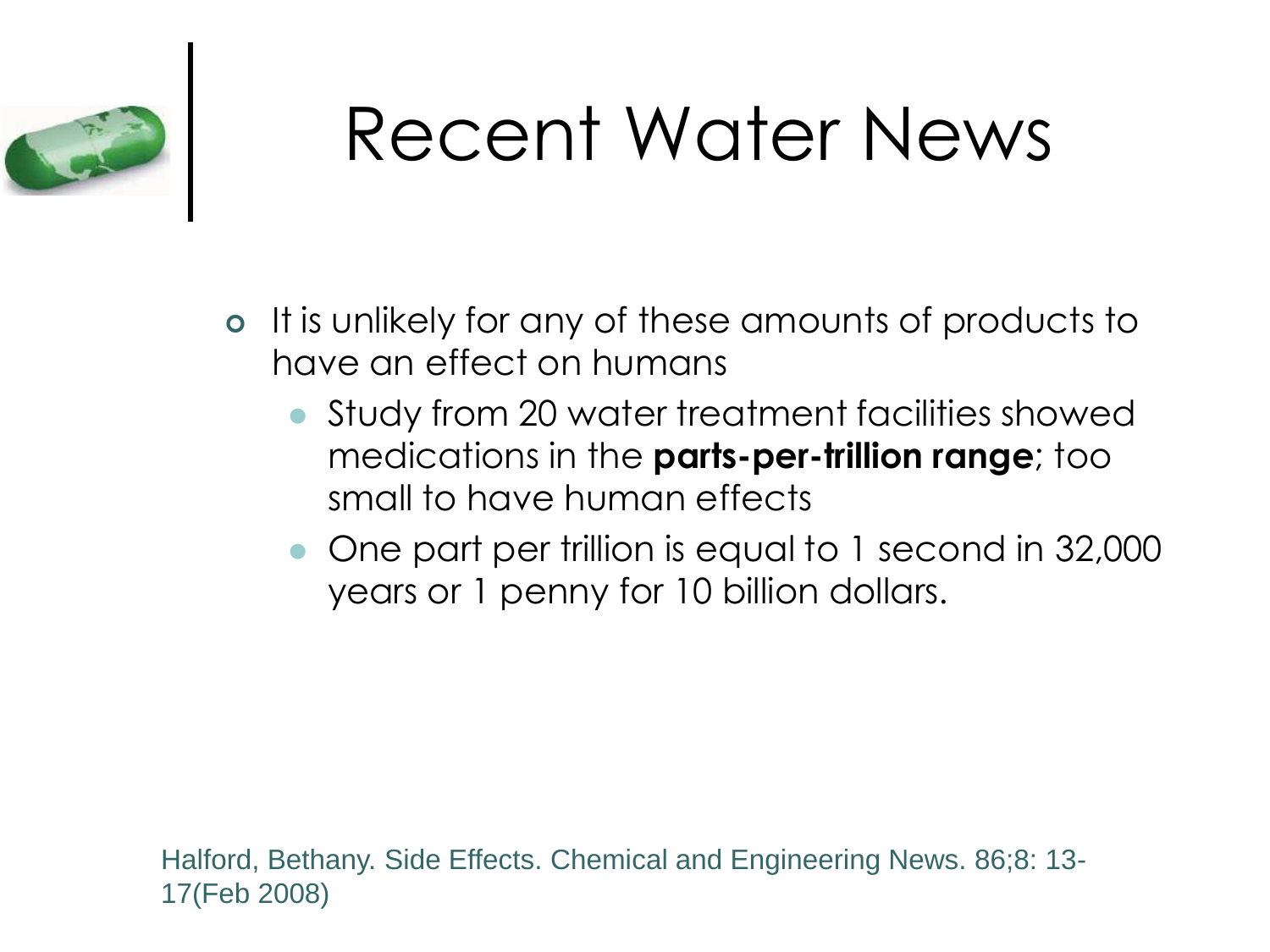

### Recent Water News

- It is unlikely for any of these amounts of products to have an effect on humans
	- Study from 20 water treatment facilities showed medications in the **parts-per-trillion range**; too small to have human effects
	- One part per trillion is equal to 1 second in 32,000 years or 1 penny for 10 billion dollars.

Halford, Bethany. Side Effects. Chemical and Engineering News. 86;8: 13- 17(Feb 2008)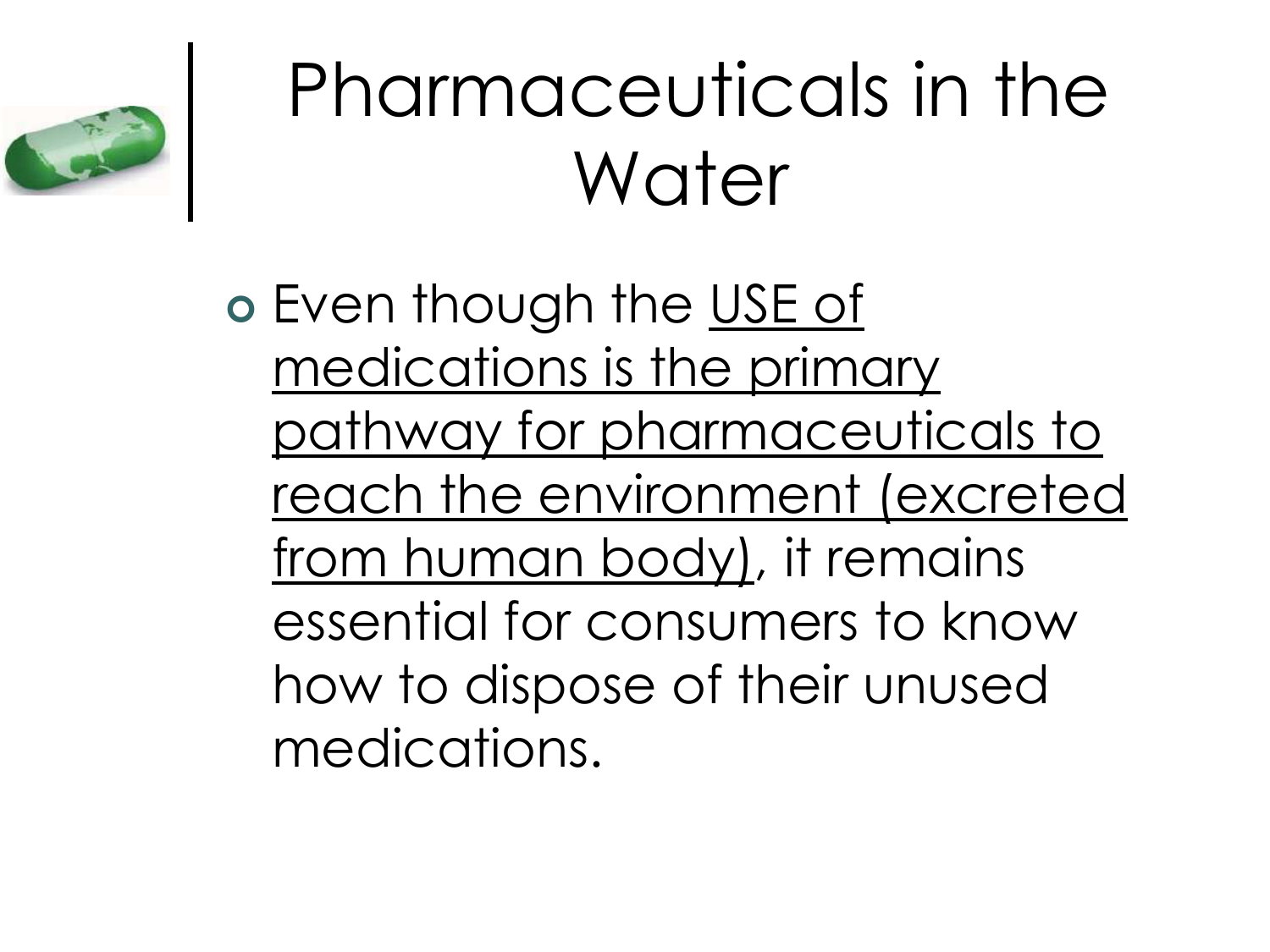

### Pharmaceuticals in the Water

 Even though the USE of medications is the primary pathway for pharmaceuticals to reach the environment (excreted from human body), it remains essential for consumers to know how to dispose of their unused medications.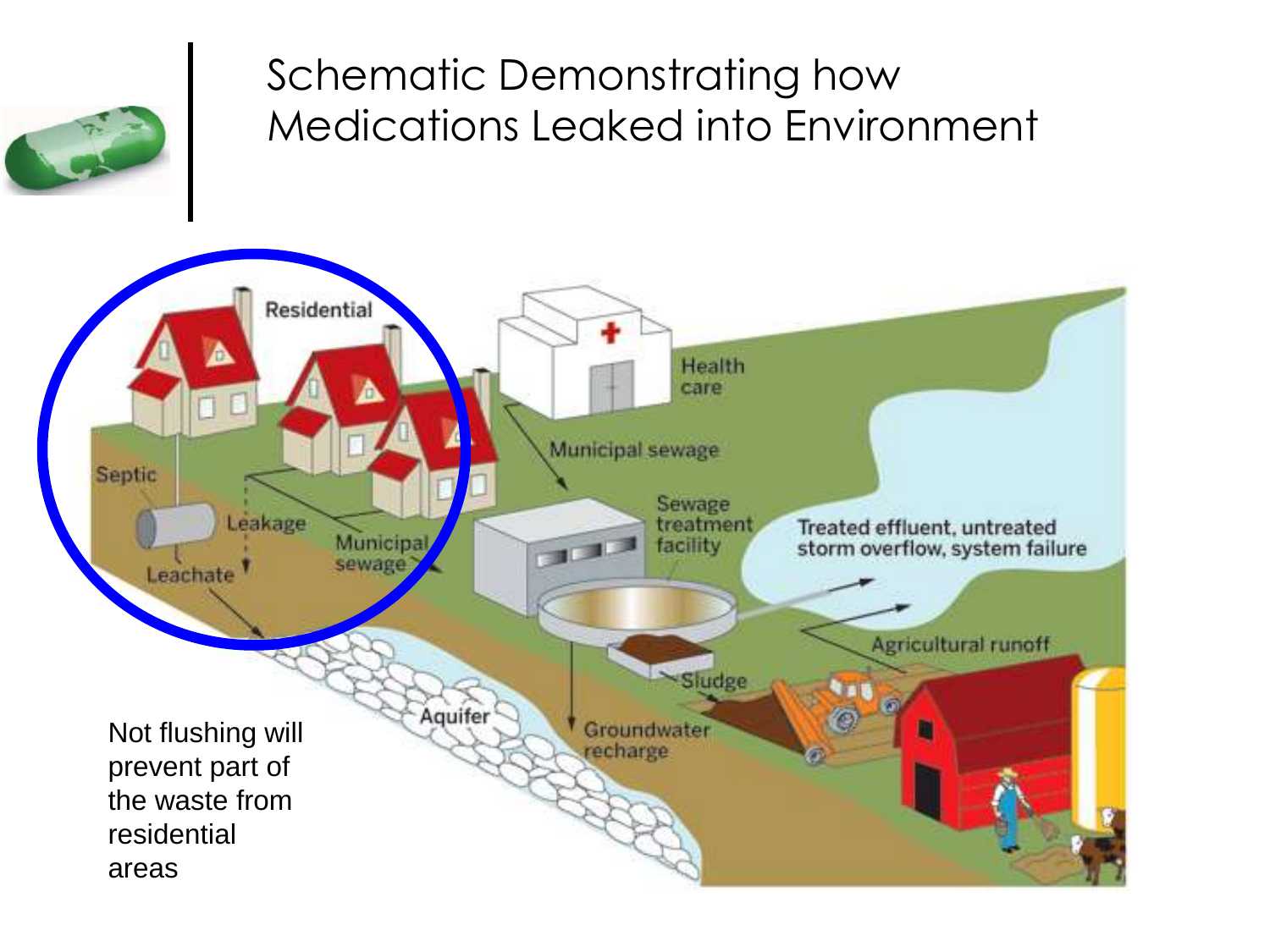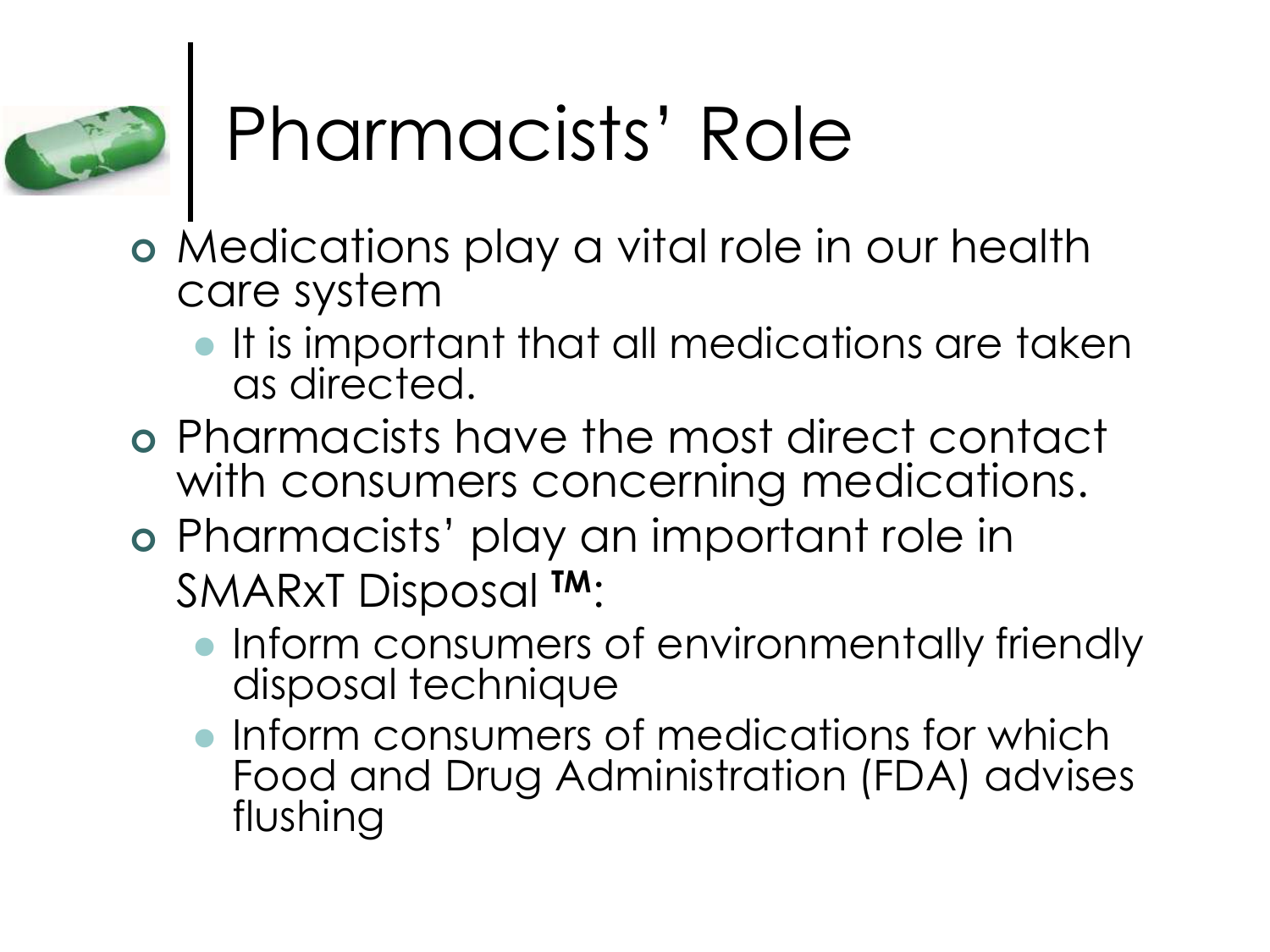

# Pharmacists' Role

- Medications play a vital role in our health care system
	- **It is important that all medications are taken** as directed.
- Pharmacists have the most direct contact with consumers concerning medications.
- Pharmacists' play an important role in SMARxT Disposal **TM**:
	- Inform consumers of environmentally friendly disposal technique
	- **Inform consumers of medications for which** Food and Drug Administration (FDA) advises flushing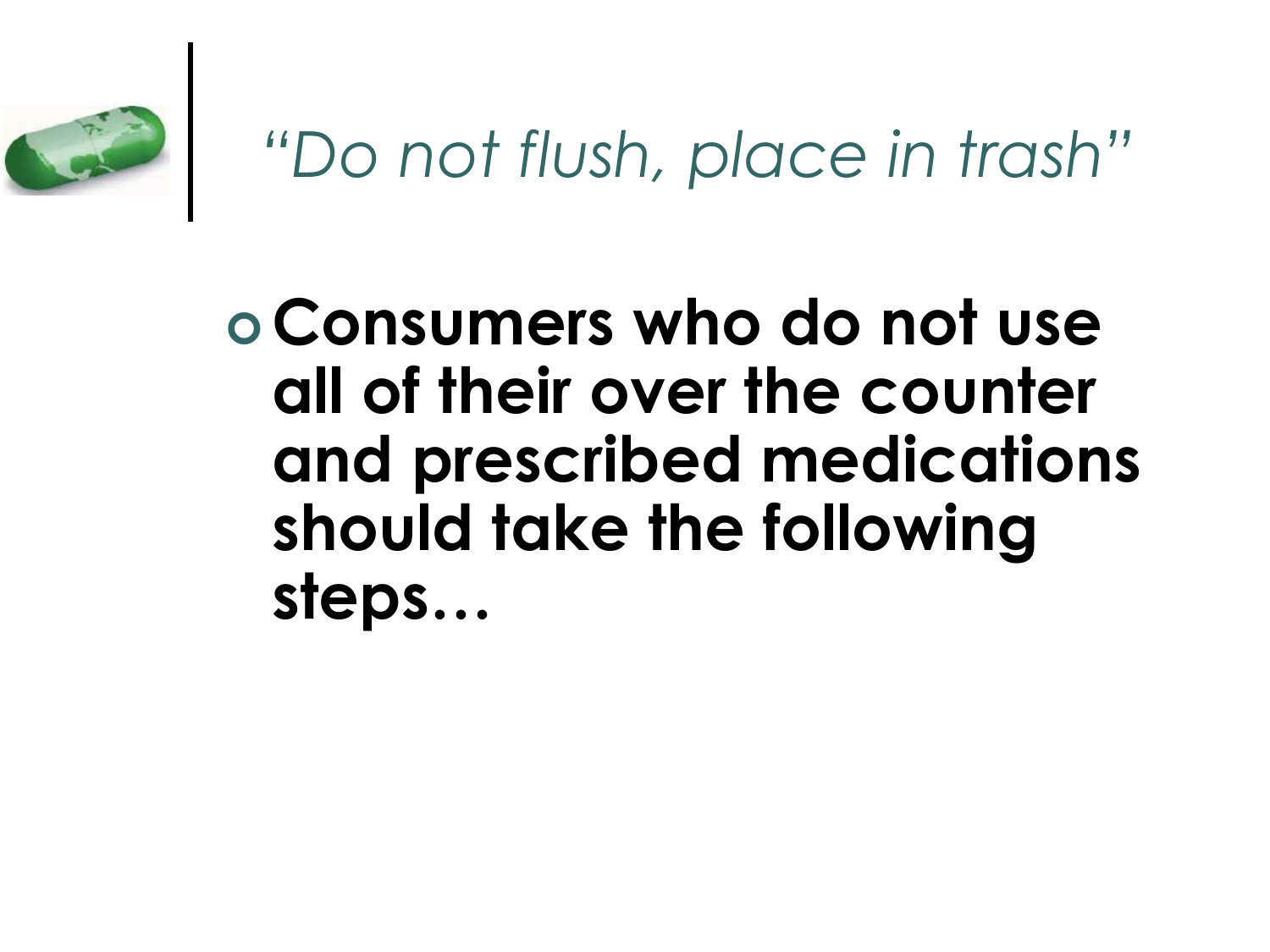

#### *"Do not flush, place in trash"*

#### **Consumers who do not use all of their over the counter and prescribed medications should take the following steps…**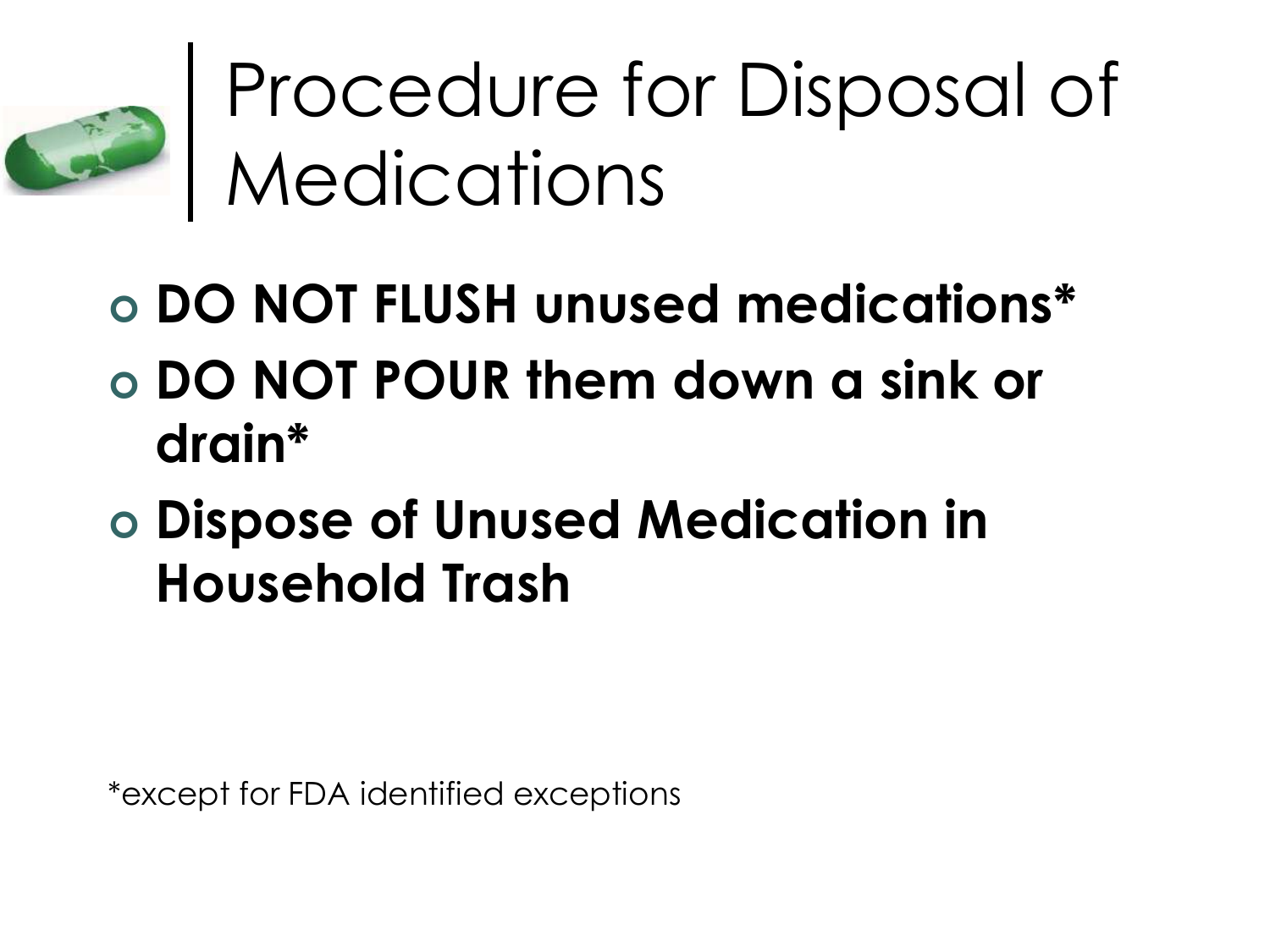

Procedure for Disposal of **Medications** 

- **DO NOT FLUSH unused medications\***
- **DO NOT POUR them down a sink or drain\***
- **Dispose of Unused Medication in Household Trash**

\*except for FDA identified exceptions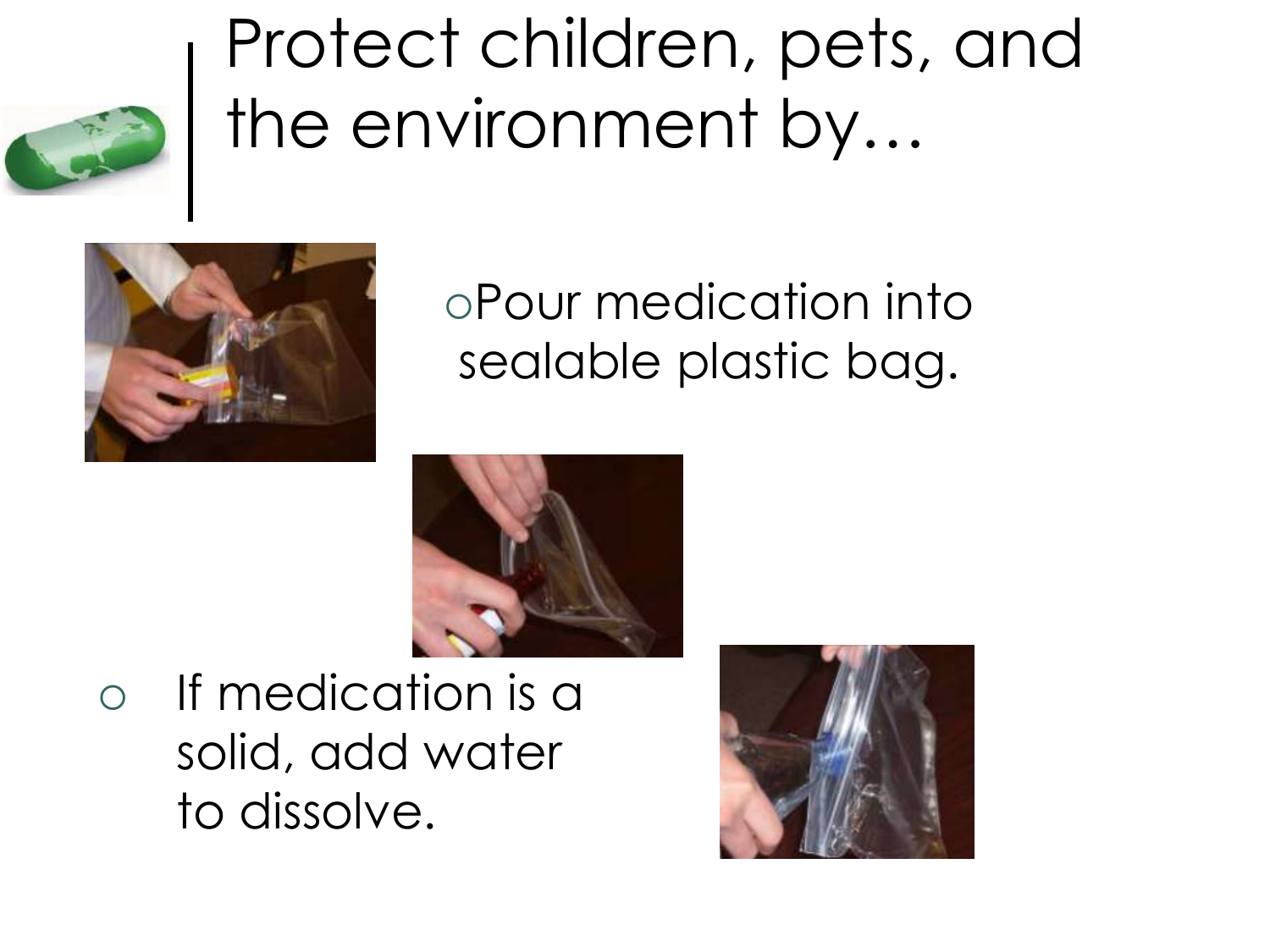



#### Pour medication into sealable plastic bag.



 If medication is a solid, add water to dissolve.

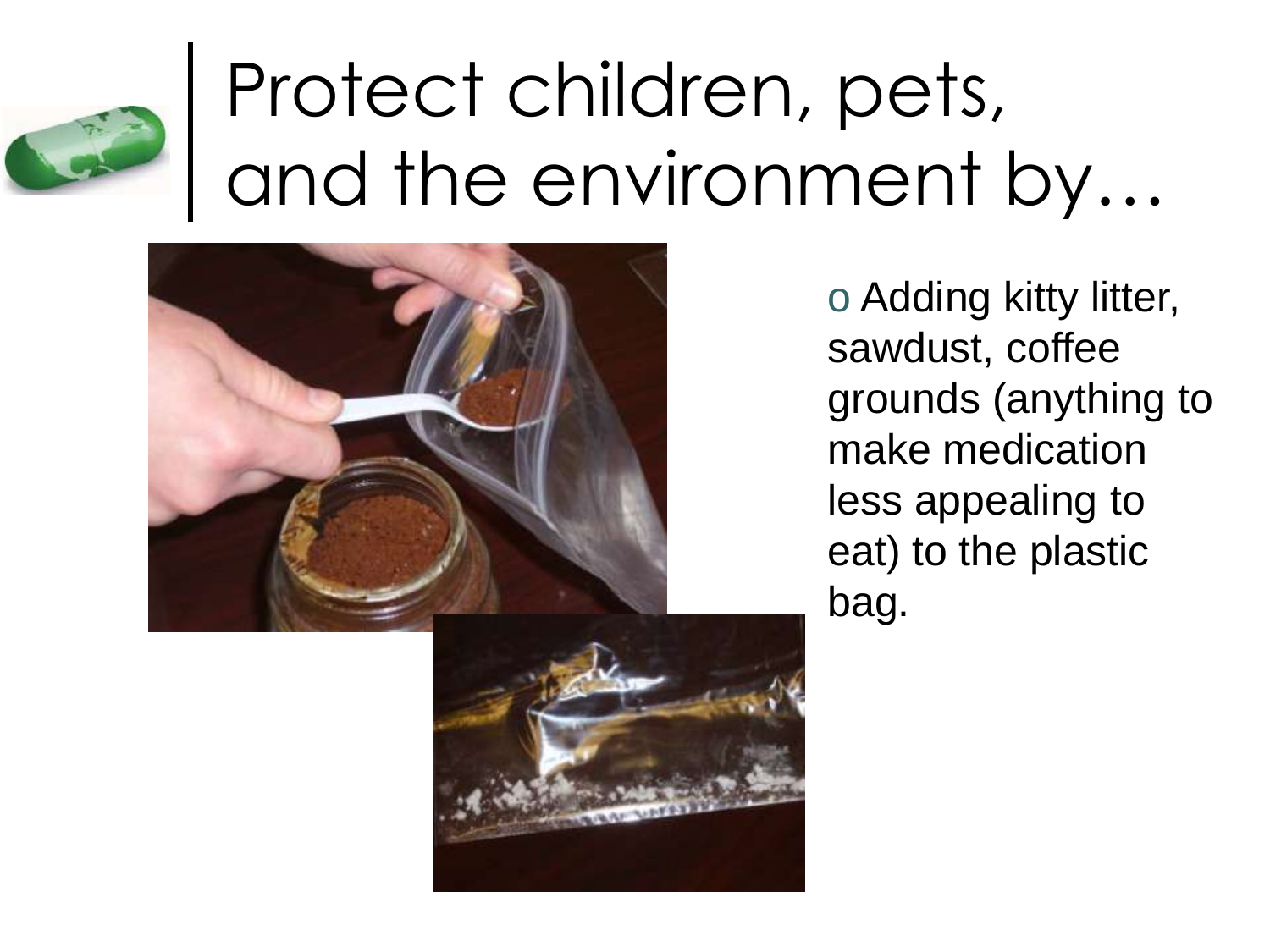



o Adding kitty litter, sawdust, coffee grounds (anything to make medication less appealing to eat) to the plastic bag.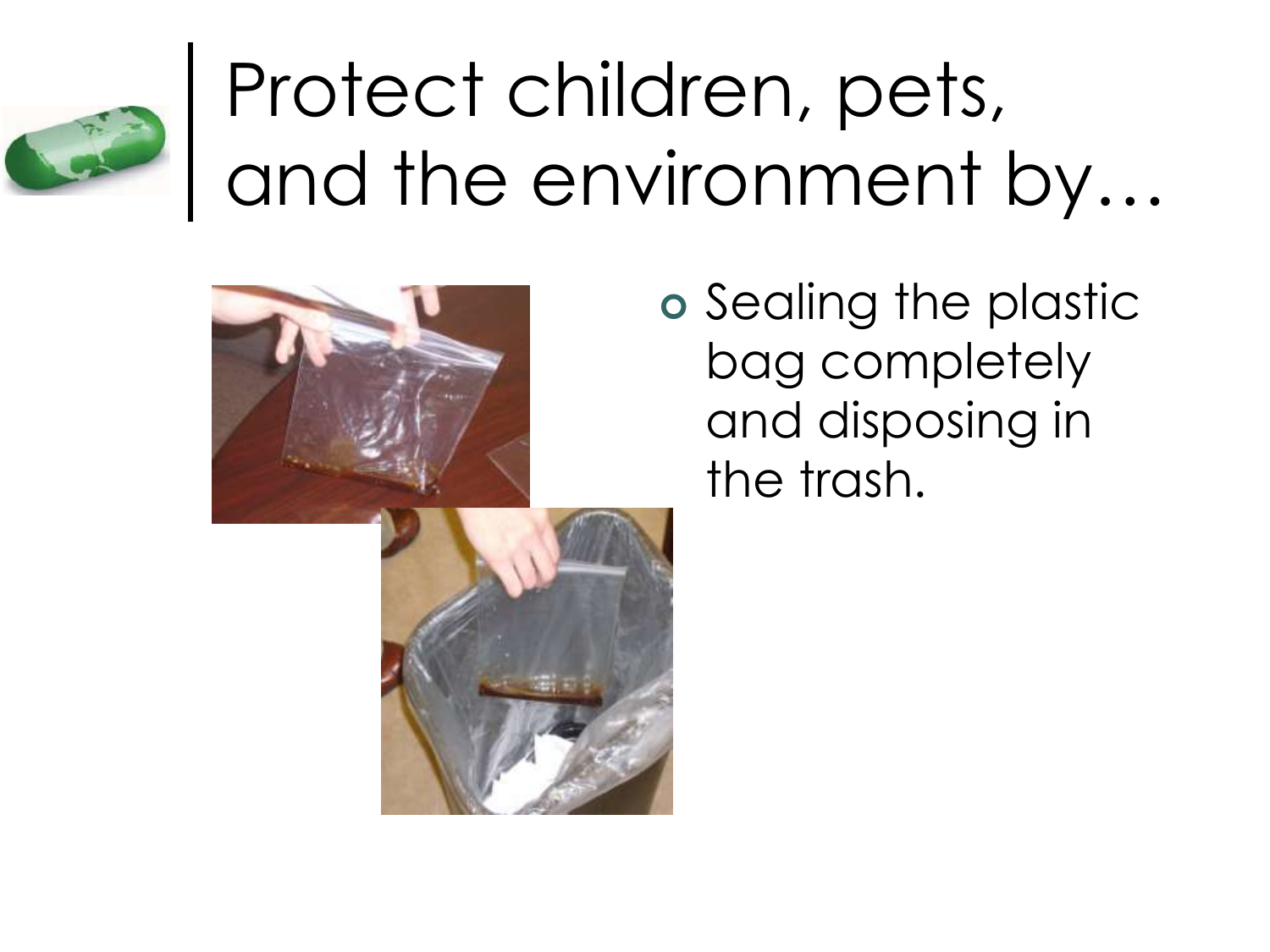





o Sealing the plastic bag completely and disposing in the trash.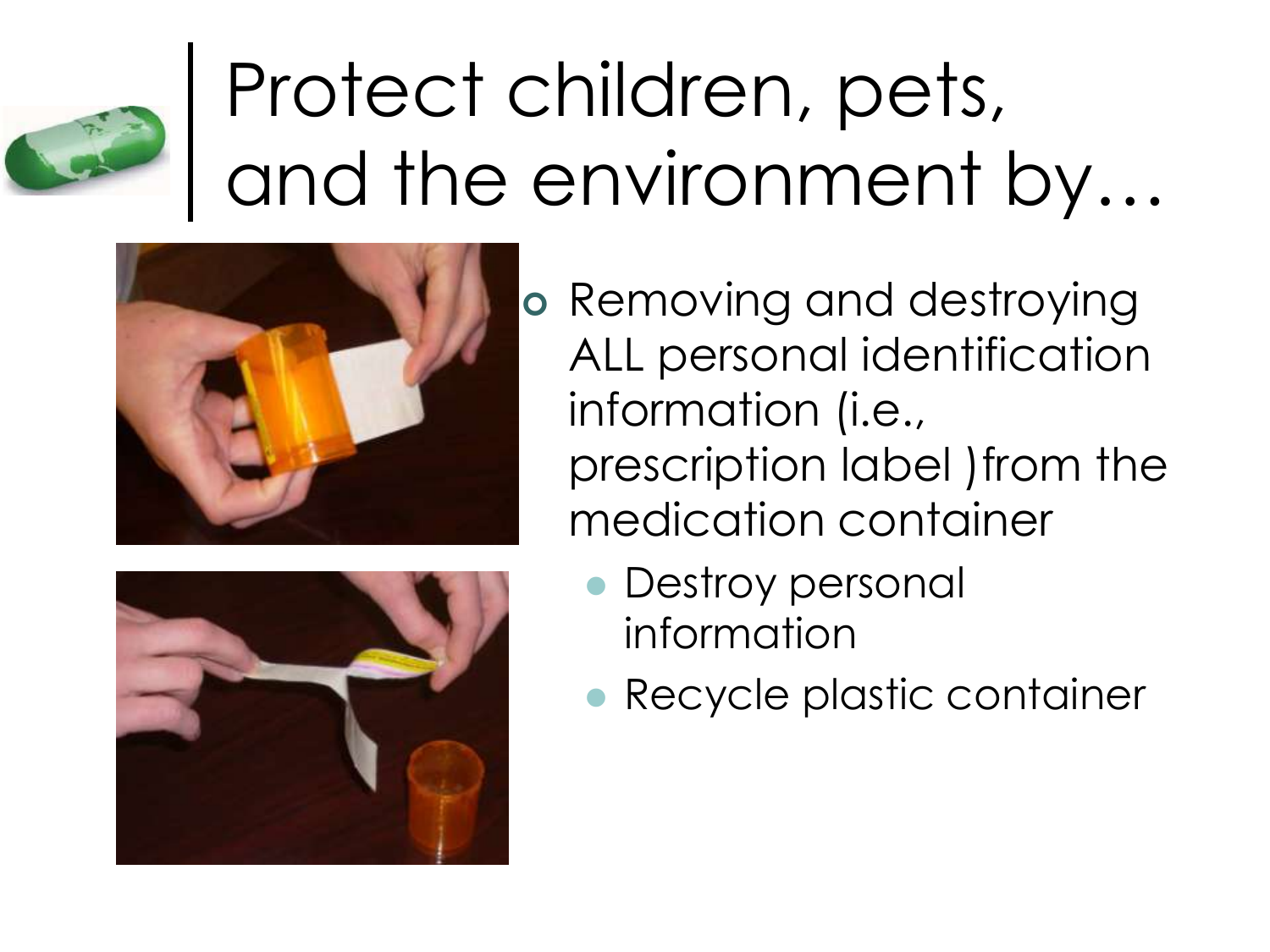





• Recycle plastic container

**• Destroy personal** 

information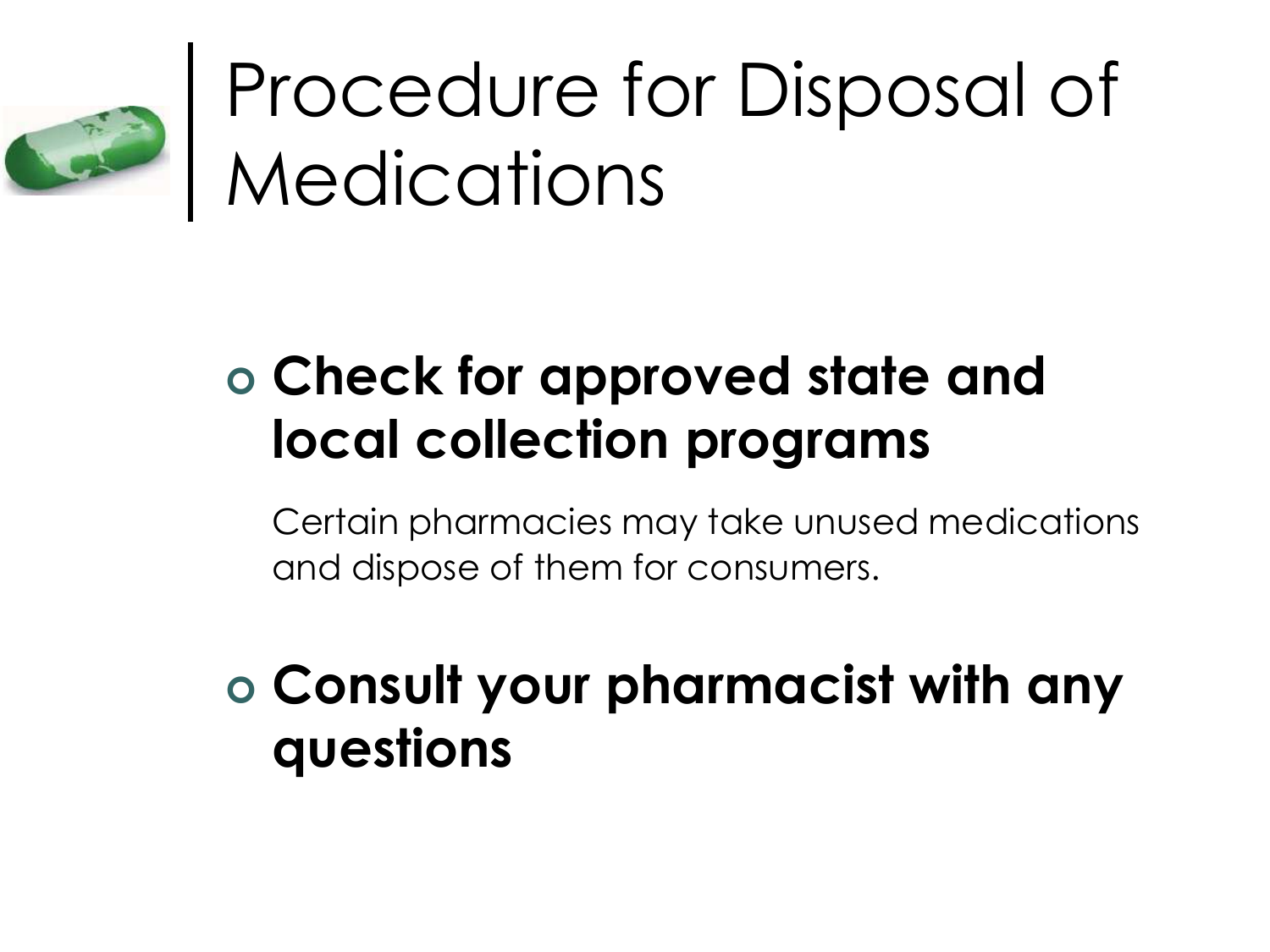

## Procedure for Disposal of **Medications**

#### **Check for approved state and local collection programs**

Certain pharmacies may take unused medications and dispose of them for consumers.

#### **Consult your pharmacist with any questions**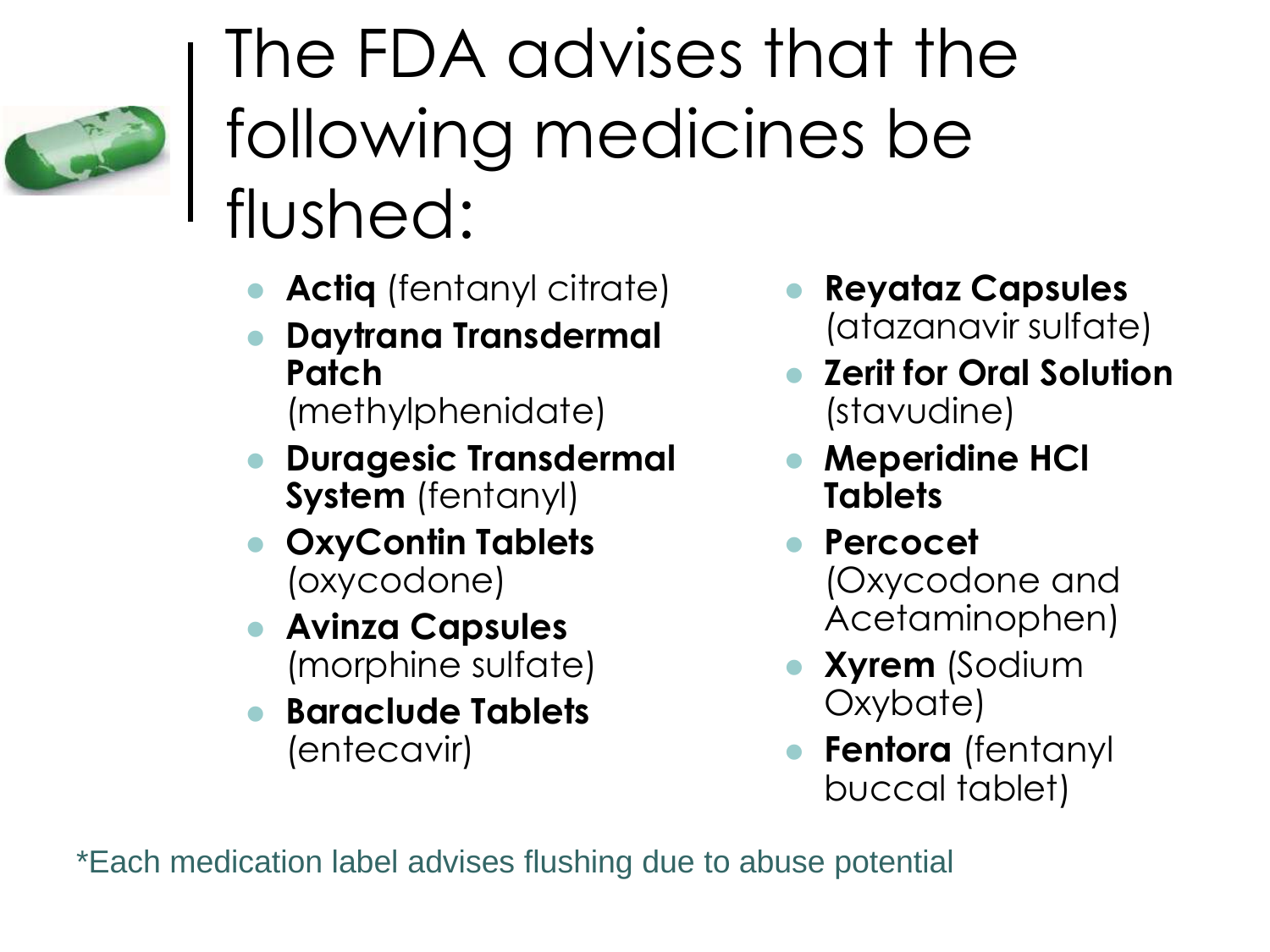

### The FDA advises that the following medicines be flushed:

- **Actiq** (fentanyl citrate)
- **Daytrana Transdermal Patch** (methylphenidate)
- **Duragesic Transdermal System** (fentanyl)
- **OxyContin Tablets** (oxycodone)
- **Avinza Capsules** (morphine sulfate)
- **Baraclude Tablets** (entecavir)
- **Reyataz Capsules** (atazanavir sulfate)
- **Zerit for Oral Solution** (stavudine)
- **Meperidine HCl Tablets**
- **Percocet** (Oxycodone and Acetaminophen)
- **Xyrem** (Sodium Oxybate)
- **Fentora** (fentanyl buccal tablet)

\*Each medication label advises flushing due to abuse potential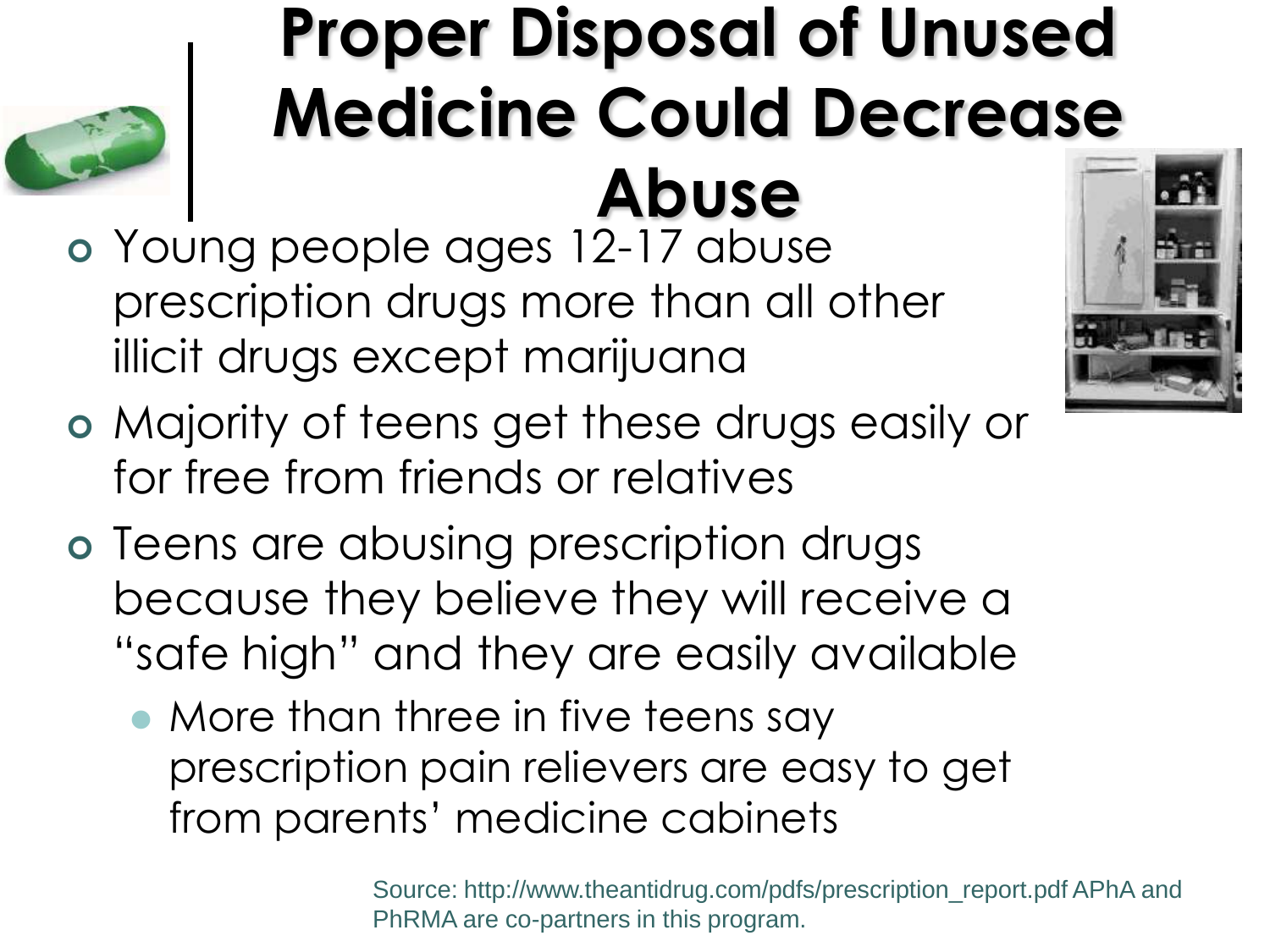#### **Proper Disposal of Unused Medicine Could Decrease Abuse**



- Young people ages 12-17 abuse prescription drugs more than all other illicit drugs except marijuana
- Majority of teens get these drugs easily or for free from friends or relatives
- o Teens are abusing prescription drugs because they believe they will receive a "safe high" and they are easily available
	- More than three in five teens say prescription pain relievers are easy to get from parents' medicine cabinets

Source: http://www.theantidrug.com/pdfs/prescription\_report.pdf APhA and PhRMA are co-partners in this program.

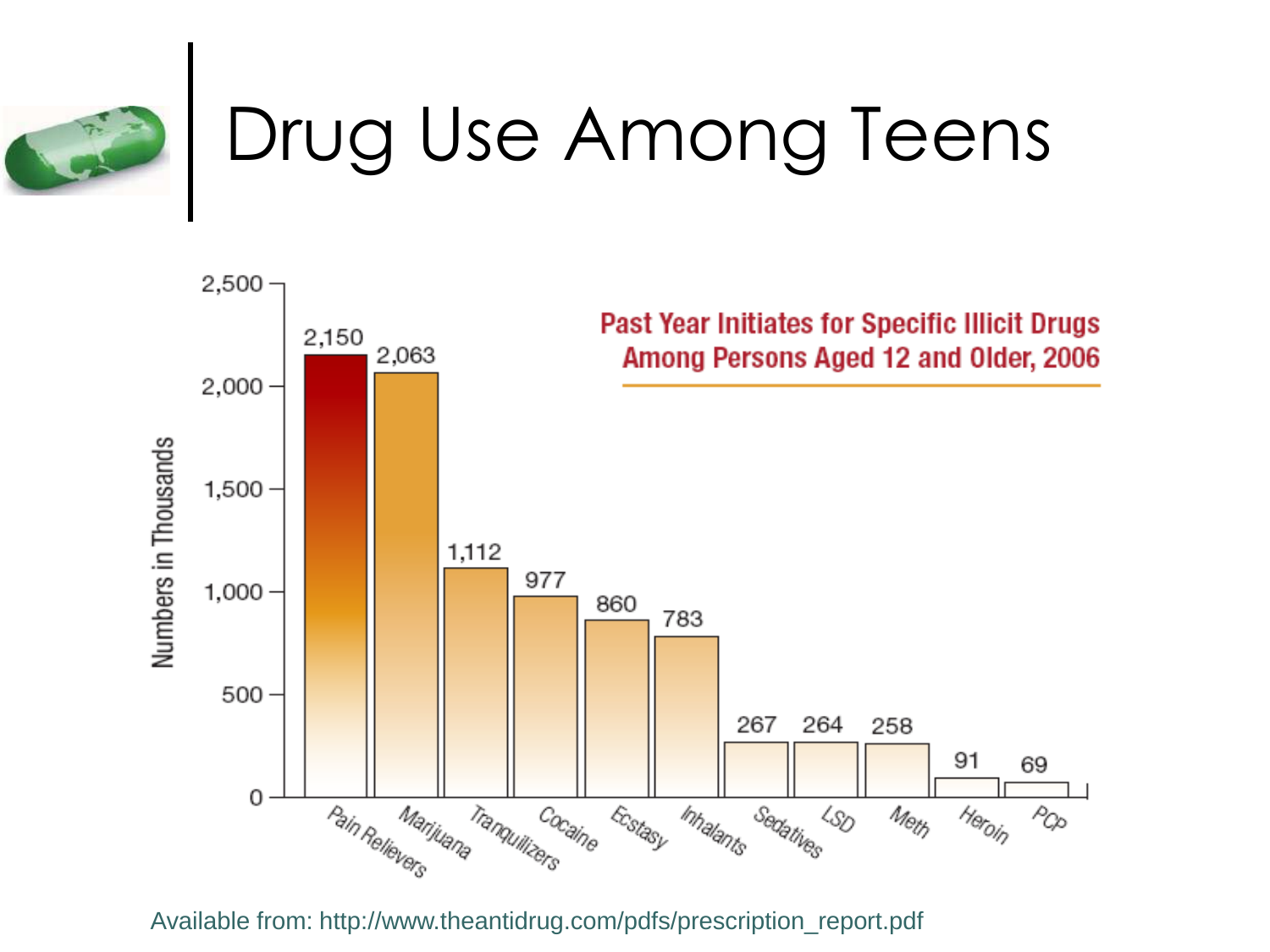

## Drug Use Among Teens



Available from: http://www.theantidrug.com/pdfs/prescription\_report.pdf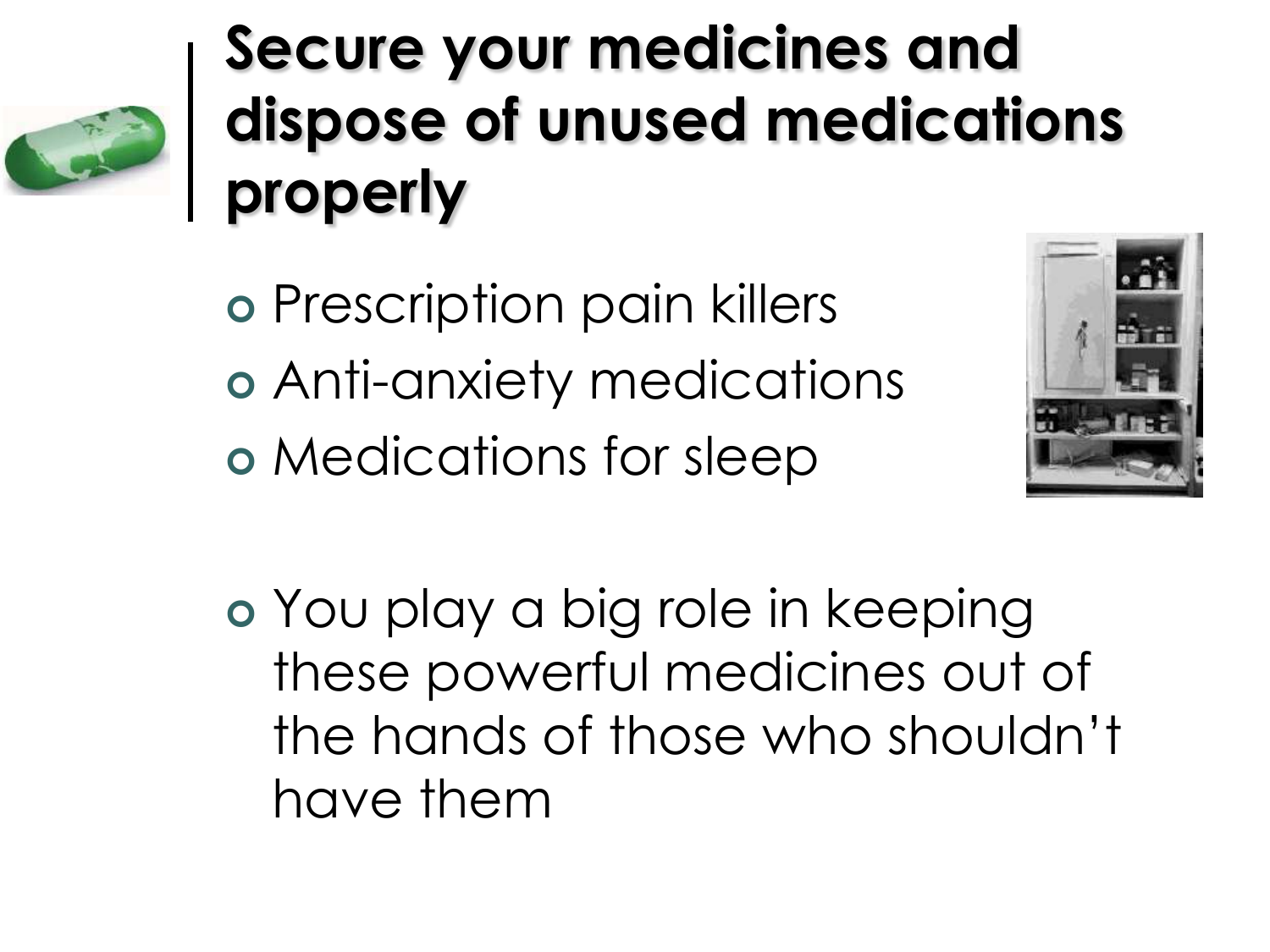

#### **Secure your medicines and dispose of unused medications properly**

o Prescription pain killers Anti-anxiety medications Medications for sleep



 You play a big role in keeping these powerful medicines out of the hands of those who shouldn't have them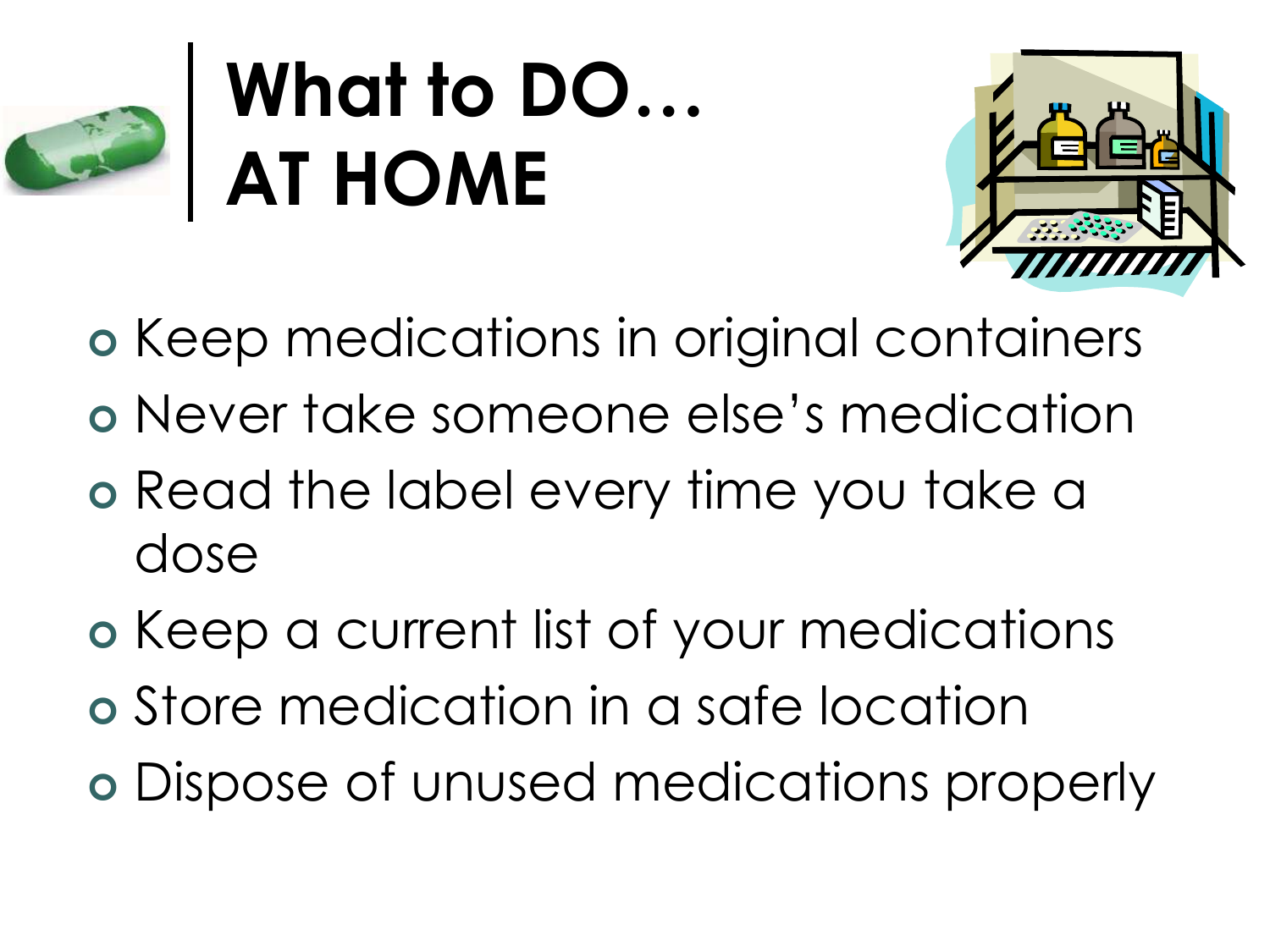

## **What to DO… AT HOME**



o Keep medications in original containers

- Never take someone else's medication
- o Read the label every time you take a dose
- o Keep a current list of your medications
- Store medication in a safe location
- Dispose of unused medications properly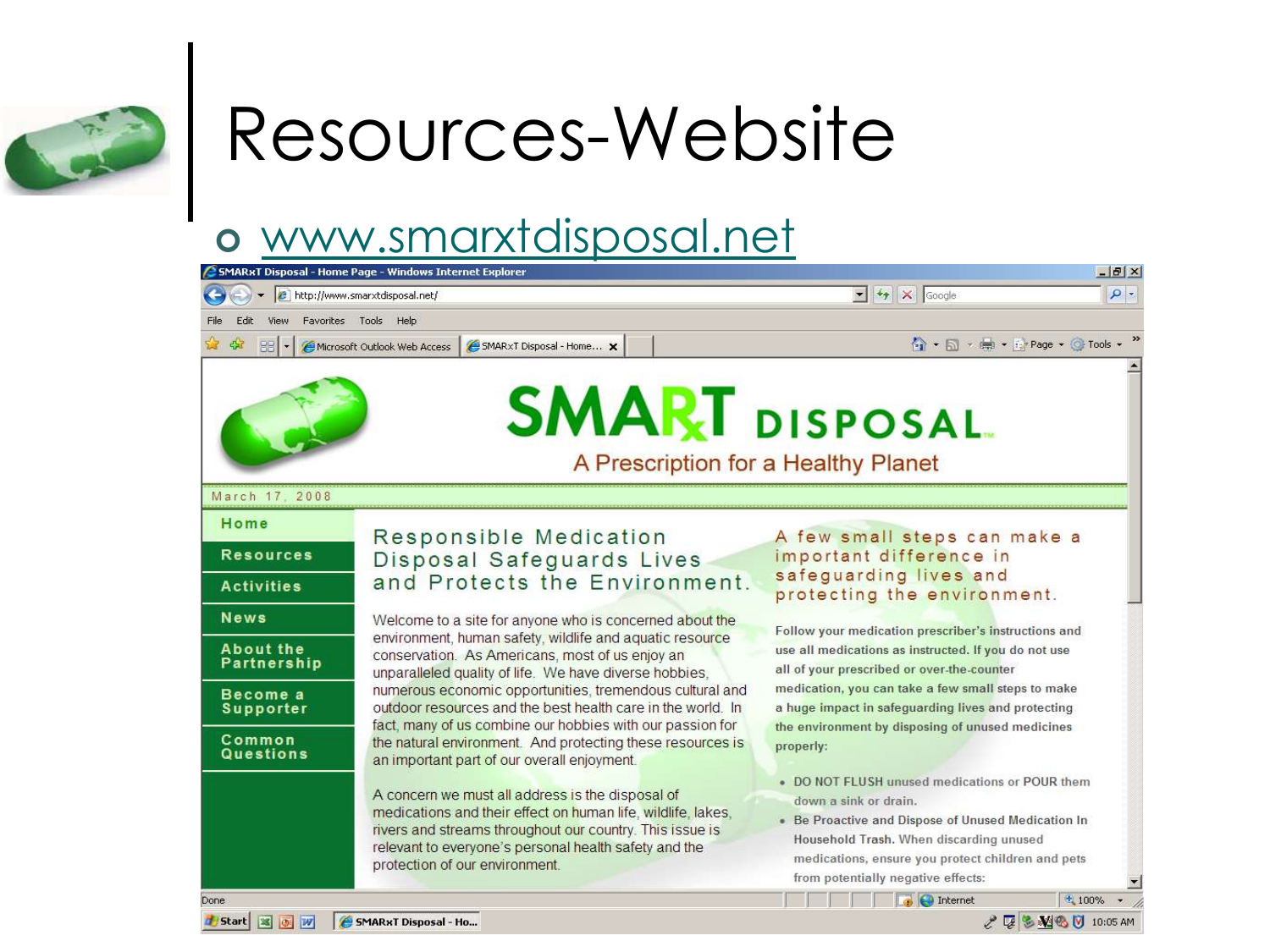

# Resources-Website

#### [www.smarxtdisposal.net](http://www.smarxtdisposal.net/)

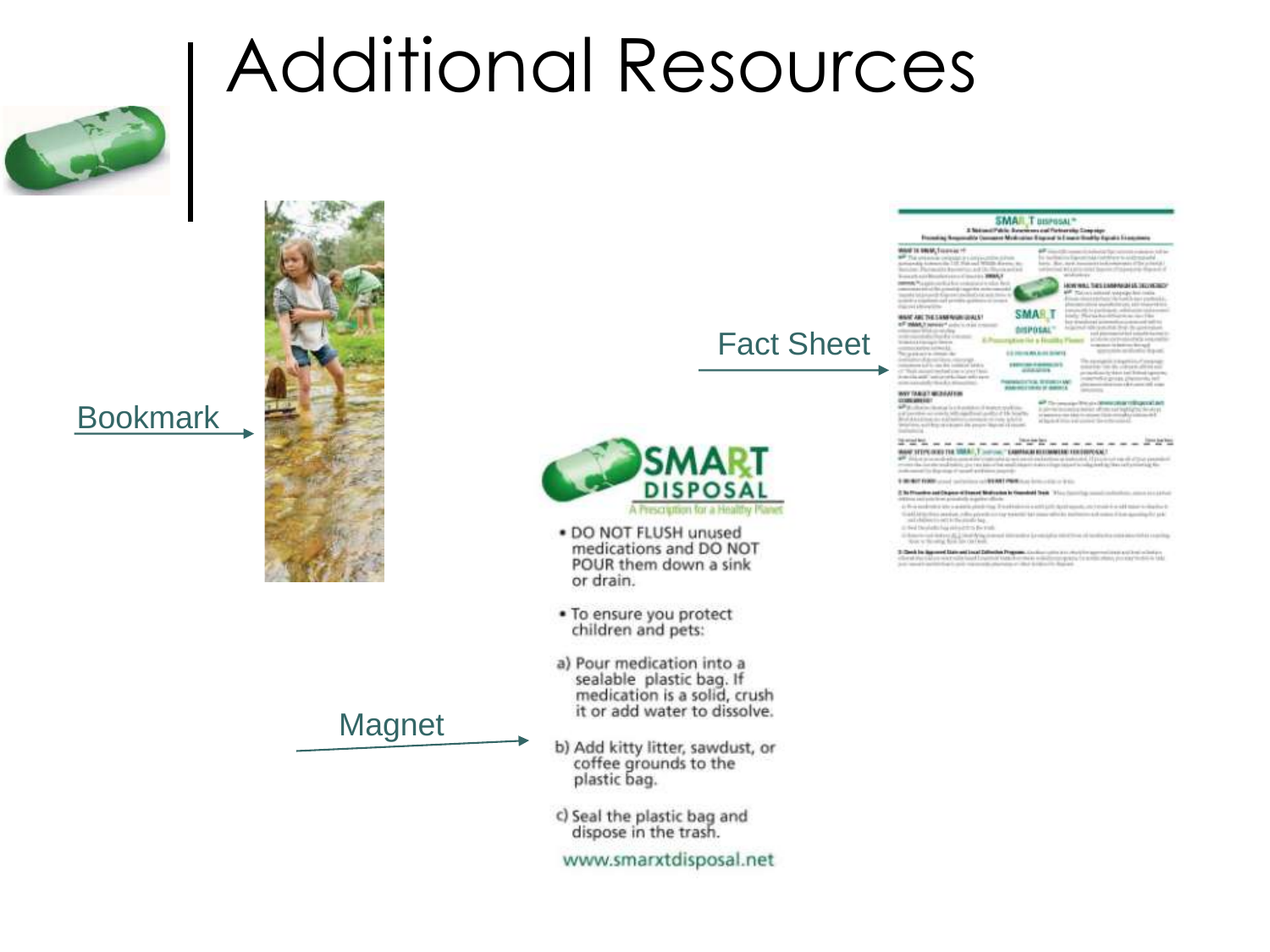#### Bookmark



Fact Sheet



Additional Resources

- . DO NOT FLUSH unused medications and DO NOT POUR them down a sink or drain.
- . To ensure you protect children and pets:
- a) Pour medication into a sealable plastic bag. If medication is a solid, crush it or add water to dissolve.
- b) Add kitty litter, sawdust, or coffee grounds to the plastic bag.
- c) Seal the plastic bag and<br>dispose in the trash.

www.smarxtdisposal.net

#### **SMAR** WANT AND THE SAME REGIONALS! **Considers in participant** analysis are DISPOSAL antice a line **WAY TANGET MEDIANTER CONCIDENTI**  $2725 - 4 - 4$ HARTSTEPLOOD THE WARD, T. LEWIS CO., LANSING HIS CONSIDERATION OF to antifages althoust Mulvada is Gambold Sed. The fact in the in presidential index to an antistic and only three Third and 1-Said Handaski has extracted as the tradhas the last index of a conference 3 Deck in Agreed Law and Incel Date

**SMAR**, T BISPOSAL® 3 National Public Automotives and Partnership Streep sign<br>make Commons Madridison Empired to Emeric Streetly Agreed a Exec

ADMINIAL THES EARN MICH AS DECK

MARTIE BRAK, Traumae 1

**Street Supply** 

**Magnet**